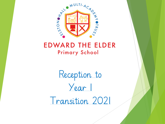

#### **EDWARD THE ELDER Primary School**

Reception to Year 1 Transition 2021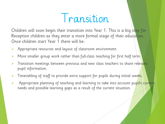### Transition

Children will soon begin their transition into Year 1. This is a big step for Reception children as they enter a more formal stage of their education. Once children start Year 1 there will be:

- Appropriate resources and layout of classroom environment.
- More smaller group work rather than full-class teaching for first half term.
- $\triangleright$  Transition meetings between previous and new class teachers to share relevant pupil information.
- $\triangleright$  Timetabling of staff to provide extra support for pupils during initial weeks.
- Appropriate planning of teaching and learning to take into account pupil's current needs and possible learning gaps as a result of the current situation.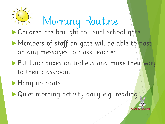# Morning Routine

- Children are brought to usual school gate.
- Members of staff on gate will be able to pass on any messages to class teacher.
- **Put lunchboxes on trolleys and make their way** to their classroom.
- Hang up coats.
- **Quiet morning activity daily e.g. reading.**

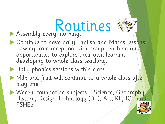#### Routines **Assembly every morning.**

- $\blacktriangleright$  Continue to have daily English and Maths lessons  $\vdash$ flowing from reception with group teaching and opportunities to explore their own learning – developing to whole class teaching.
- Daily phonics sessions within class.
- Milk and fruit will continue as a whole class after playtime.
- Weekly foundation subjects Science, Geography, History, Design Technology (DT), Art, RE, ICT and PSHEe.

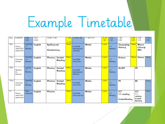## Example Timetable

| Day   | 8:45 8:55                         | $9.00 -$<br>9.20           | $9.25 -$<br>10-20 | 10.20-11.00                                |                   | 11.00<br>11.15 | 11.15-11.30                             | 11:30-12:10  | $12.10 -$<br>1.30 | 1:10<br>1.30   | $1.30 -$<br>2.20                                   | 2.20<br>2.35 | $2.35 -$<br>3.10                                           | $3.10 -$<br>3.20 |
|-------|-----------------------------------|----------------------------|-------------------|--------------------------------------------|-------------------|----------------|-----------------------------------------|--------------|-------------------|----------------|----------------------------------------------------|--------------|------------------------------------------------------------|------------------|
| Mon   | Phonic<br>video/CEW<br>speed read | Assemblu<br>1:1<br>Reading | <b>English</b>    | <b>Spelling test</b><br><b>Handwriting</b> |                   | <b>Break</b>   | Fruit/Milk<br>Speaking and<br>Listening | <b>Maths</b> | Lunch             | 1:1<br>Reading | Geographyl<br><b>History</b>                       | Brea         | Music<br>Library/<br>MFL                                   |                  |
| Tues  | Choosing<br>baskets               | Assembly<br>1:1<br>Reading | <b>English</b>    | <b>Phonics</b>                             | Guided<br>Reading | <b>Break</b>   | Fruit/Milk<br>Story Time                | <b>Maths</b> | Lunch             | 1:1<br>Reading | <b>Science</b>                                     | <b>Break</b> | <b>Science</b>                                             | Story            |
| Wed   | Reading<br>for<br>pleasure        | Assemblu<br>1:1<br>Reading | <b>English</b>    | <b>Phonics</b>                             | Guided<br>Reading | Break          | Fruit/Milk<br>Speaking and<br>listening | <b>Maths</b> | Lunch             | 1:1<br>Reading | Art/DT                                             |              | PE                                                         |                  |
| Thurs | Choosing<br>baskets               | Assemblu<br>1:1<br>Reading | <b>English</b>    | <b>Phonics</b>                             | Guided<br>Reading | <b>Break</b>   | Fruit/Milk<br>Story Time                | Maths        | Lunch             | 1:1<br>Reading | PE                                                 |              | <b>RE</b>                                                  | Story            |
| Fri   | Phonic<br>video/CEW<br>speed read | Merit<br>Assemblu          | <b>English</b>    | <b>Phonics</b>                             |                   | <b>Break</b>   | Fruit/Milk<br>Show and Tell             | <b>Maths</b> | Lunch             | 1:1<br>Reading | <b>ICT</b><br>1:1 reading<br><b>Guided Reading</b> |              | <b>ICT</b><br>1:1<br>read in q<br>Guided<br><b>Reading</b> | Story            |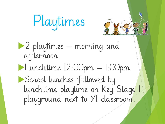



2 playtimes – morning and afternoon. Lunchtime 12:00pm – 1:00pm. School lunches followed by lunchtime playtime on Key Stage 1 playground next to Y1 classroom.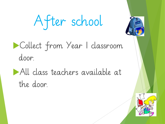After school



#### Collect from Year 1 classroom door.

All class teachers available at the door.

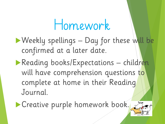## Homework

- Weekly spellings Day for these will be confirmed at a later date.
- Reading books/Expectations children will have comprehension questions to complete at home in their Reading Journal.
- Creative purple homework book.